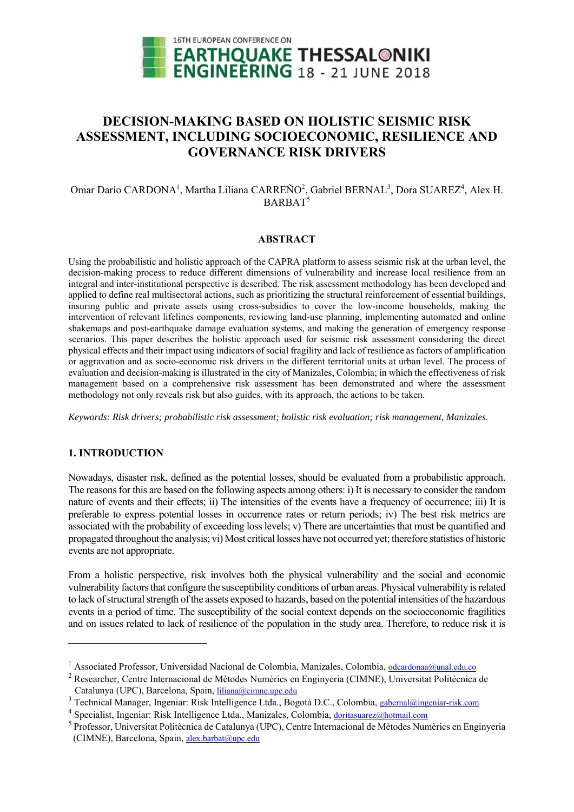

# **DECISION-MAKING BASED ON HOLISTIC SEISMIC RISK ASSESSMENT, INCLUDING SOCIOECONOMIC, RESILIENCE AND GOVERNANCE RISK DRIVERS**

# Omar Darío CARDONA<sup>1</sup>, Martha Liliana CARREÑO<sup>2</sup>, Gabriel BERNAL<sup>3</sup>, Dora SUAREZ<sup>4</sup>, Alex H. BARBAT<sup>5</sup>

## **ABSTRACT**

Using the probabilistic and holistic approach of the CAPRA platform to assess seismic risk at the urban level, the decision-making process to reduce different dimensions of vulnerability and increase local resilience from an integral and inter-institutional perspective is described. The risk assessment methodology has been developed and applied to define real multisectoral actions, such as prioritizing the structural reinforcement of essential buildings, insuring public and private assets using cross-subsidies to cover the low-income households, making the intervention of relevant lifelines components, reviewing land-use planning, implementing automated and online shakemaps and post-earthquake damage evaluation systems, and making the generation of emergency response scenarios. This paper describes the holistic approach used for seismic risk assessment considering the direct physical effects and their impact using indicators of social fragility and lack of resilience as factors of amplification or aggravation and as socio-economic risk drivers in the different territorial units at urban level. The process of evaluation and decision-making is illustrated in the city of Manizales, Colombia; in which the effectiveness of risk management based on a comprehensive risk assessment has been demonstrated and where the assessment methodology not only reveals risk but also guides, with its approach, the actions to be taken.

*Keywords: Risk drivers; probabilistic risk assessment; holistic risk evaluation; risk management, Manizales.* 

# **1. INTRODUCTION**

1

Nowadays, disaster risk, defined as the potential losses, should be evaluated from a probabilistic approach. The reasons for this are based on the following aspects among others: i) It is necessary to consider the random nature of events and their effects; ii) The intensities of the events have a frequency of occurrence; iii) It is preferable to express potential losses in occurrence rates or return periods; iv) The best risk metrics are associated with the probability of exceeding loss levels; v) There are uncertainties that must be quantified and propagated throughout the analysis; vi) Most critical losses have not occurred yet; therefore statistics of historic events are not appropriate.

From a holistic perspective, risk involves both the physical vulnerability and the social and economic vulnerability factors that configure the susceptibility conditions of urban areas. Physical vulnerability is related to lack of structural strength of the assets exposed to hazards, based on the potential intensities of the hazardous events in a period of time. The susceptibility of the social context depends on the socioeconomic fragilities and on issues related to lack of resilience of the population in the study area. Therefore, to reduce risk it is

<sup>&</sup>lt;sup>1</sup> Associated Professor, Universidad Nacional de Colombia, Manizales, Colombia, <u>odcardonaa@unal.edu.co</u><br><sup>2</sup> Pegearcher, Centre Internacional de Mètodes Numèries en Enginyerie (CIMNE), Universitat Politèquien

Researcher, Centre Internacional de Mètodes Numèrics en Enginyeria (CIMNE), Universitat Politècnica de Catalunya (UPC), Barcelona, Spain, liliana@cimne.upc.edu

<sup>&</sup>lt;sup>3</sup> Technical Manager, Ingeniar: Risk Intelligence Ltda., Bogotá D.C., Colombia, gabernal@ingeniar-risk.com

<sup>&</sup>lt;sup>4</sup> Specialist, Ingeniar: Risk Intelligence Ltda., Manizales, Colombia, doritasuarez@hotmail.com

<sup>&</sup>lt;sup>5</sup> Professor, Universitat Politècnica de Catalunya (UPC), Centre Internacional de Mètodes Numèrics en Enginyeria (CIMNE), Barcelona, Spain, alex.barbat@upc.edu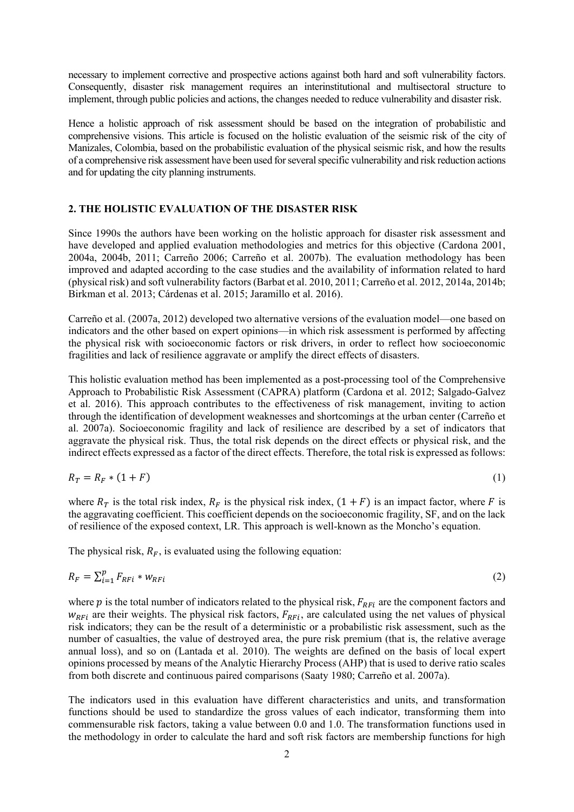necessary to implement corrective and prospective actions against both hard and soft vulnerability factors. Consequently, disaster risk management requires an interinstitutional and multisectoral structure to implement, through public policies and actions, the changes needed to reduce vulnerability and disaster risk.

Hence a holistic approach of risk assessment should be based on the integration of probabilistic and comprehensive visions. This article is focused on the holistic evaluation of the seismic risk of the city of Manizales, Colombia, based on the probabilistic evaluation of the physical seismic risk, and how the results of a comprehensive risk assessment have been used for several specific vulnerability and risk reduction actions and for updating the city planning instruments.

## **2. THE HOLISTIC EVALUATION OF THE DISASTER RISK**

Since 1990s the authors have been working on the holistic approach for disaster risk assessment and have developed and applied evaluation methodologies and metrics for this objective (Cardona 2001, 2004a, 2004b, 2011; Carreño 2006; Carreño et al. 2007b). The evaluation methodology has been improved and adapted according to the case studies and the availability of information related to hard (physical risk) and soft vulnerability factors (Barbat et al. 2010, 2011; Carreño et al. 2012, 2014a, 2014b; Birkman et al. 2013; Cárdenas et al. 2015; Jaramillo et al. 2016).

Carreño et al. (2007a, 2012) developed two alternative versions of the evaluation model—one based on indicators and the other based on expert opinions—in which risk assessment is performed by affecting the physical risk with socioeconomic factors or risk drivers, in order to reflect how socioeconomic fragilities and lack of resilience aggravate or amplify the direct effects of disasters.

This holistic evaluation method has been implemented as a post-processing tool of the Comprehensive Approach to Probabilistic Risk Assessment (CAPRA) platform (Cardona et al. 2012; Salgado-Galvez et al. 2016). This approach contributes to the effectiveness of risk management, inviting to action through the identification of development weaknesses and shortcomings at the urban center (Carreño et al. 2007a). Socioeconomic fragility and lack of resilience are described by a set of indicators that aggravate the physical risk. Thus, the total risk depends on the direct effects or physical risk, and the indirect effects expressed as a factor of the direct effects. Therefore, the total risk is expressed as follows:

$$
R_T = R_F \cdot (1 + F) \tag{1}
$$

where  $R_T$  is the total risk index,  $R_F$  is the physical risk index,  $(1 + F)$  is an impact factor, where F is the aggravating coefficient. This coefficient depends on the socioeconomic fragility, SF, and on the lack of resilience of the exposed context, LR. This approach is well-known as the Moncho's equation.

The physical risk,  $R_F$ , is evaluated using the following equation:

$$
R_F = \sum_{i=1}^p F_{RFi} * w_{RFi}
$$
 (2)

where  $p$  is the total number of indicators related to the physical risk,  $F_{RFi}$  are the component factors and  $w_{RFi}$  are their weights. The physical risk factors,  $F_{RFi}$ , are calculated using the net values of physical risk indicators; they can be the result of a deterministic or a probabilistic risk assessment, such as the number of casualties, the value of destroyed area, the pure risk premium (that is, the relative average annual loss), and so on (Lantada et al. 2010). The weights are defined on the basis of local expert opinions processed by means of the Analytic Hierarchy Process (AHP) that is used to derive ratio scales from both discrete and continuous paired comparisons (Saaty 1980; Carreño et al. 2007a).

The indicators used in this evaluation have different characteristics and units, and transformation functions should be used to standardize the gross values of each indicator, transforming them into commensurable risk factors, taking a value between 0.0 and 1.0. The transformation functions used in the methodology in order to calculate the hard and soft risk factors are membership functions for high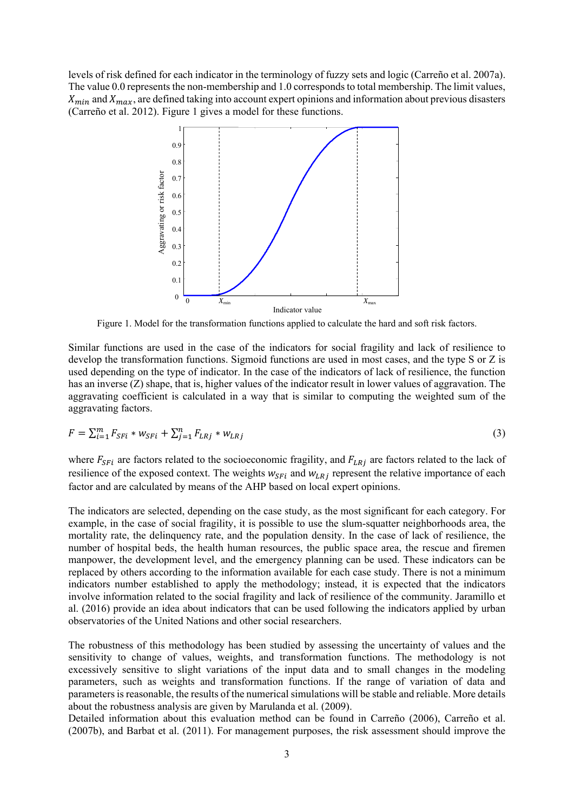levels of risk defined for each indicator in the terminology of fuzzy sets and logic (Carreño et al. 2007a). The value 0.0 represents the non-membership and 1.0 corresponds to total membership. The limit values,  $X_{min}$  and  $X_{max}$ , are defined taking into account expert opinions and information about previous disasters (Carreño et al. 2012). Figure 1 gives a model for these functions.



Figure 1. Model for the transformation functions applied to calculate the hard and soft risk factors.

Similar functions are used in the case of the indicators for social fragility and lack of resilience to develop the transformation functions. Sigmoid functions are used in most cases, and the type S or Z is used depending on the type of indicator. In the case of the indicators of lack of resilience, the function has an inverse (Z) shape, that is, higher values of the indicator result in lower values of aggravation. The aggravating coefficient is calculated in a way that is similar to computing the weighted sum of the aggravating factors.

$$
F = \sum_{i=1}^{m} F_{SFi} * w_{SFi} + \sum_{j=1}^{n} F_{LRj} * w_{LRj}
$$
(3)

where  $F_{SFi}$  are factors related to the socioeconomic fragility, and  $F_{LRj}$  are factors related to the lack of resilience of the exposed context. The weights  $w_{SF}$  and  $w_{LR}$  represent the relative importance of each factor and are calculated by means of the AHP based on local expert opinions.

The indicators are selected, depending on the case study, as the most significant for each category. For example, in the case of social fragility, it is possible to use the slum-squatter neighborhoods area, the mortality rate, the delinquency rate, and the population density. In the case of lack of resilience, the number of hospital beds, the health human resources, the public space area, the rescue and firemen manpower, the development level, and the emergency planning can be used. These indicators can be replaced by others according to the information available for each case study. There is not a minimum indicators number established to apply the methodology; instead, it is expected that the indicators involve information related to the social fragility and lack of resilience of the community. Jaramillo et al. (2016) provide an idea about indicators that can be used following the indicators applied by urban observatories of the United Nations and other social researchers.

The robustness of this methodology has been studied by assessing the uncertainty of values and the sensitivity to change of values, weights, and transformation functions. The methodology is not excessively sensitive to slight variations of the input data and to small changes in the modeling parameters, such as weights and transformation functions. If the range of variation of data and parameters is reasonable, the results of the numerical simulations will be stable and reliable. More details about the robustness analysis are given by Marulanda et al. (2009).

Detailed information about this evaluation method can be found in Carreño (2006), Carreño et al. (2007b), and Barbat et al. (2011). For management purposes, the risk assessment should improve the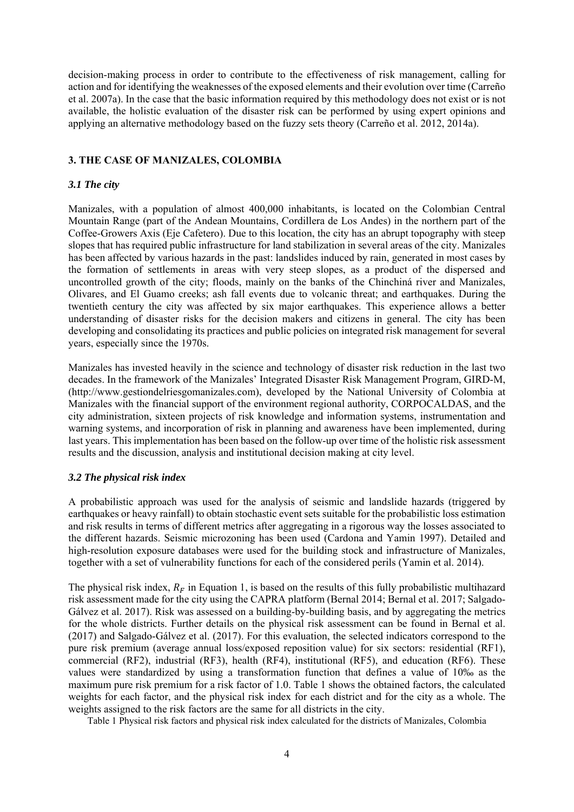decision-making process in order to contribute to the effectiveness of risk management, calling for action and for identifying the weaknesses of the exposed elements and their evolution over time (Carreño et al. 2007a). In the case that the basic information required by this methodology does not exist or is not available, the holistic evaluation of the disaster risk can be performed by using expert opinions and applying an alternative methodology based on the fuzzy sets theory (Carreño et al. 2012, 2014a).

## **3. THE CASE OF MANIZALES, COLOMBIA**

## *3.1 The city*

Manizales, with a population of almost 400,000 inhabitants, is located on the Colombian Central Mountain Range (part of the Andean Mountains, Cordillera de Los Andes) in the northern part of the Coffee-Growers Axis (Eje Cafetero). Due to this location, the city has an abrupt topography with steep slopes that has required public infrastructure for land stabilization in several areas of the city. Manizales has been affected by various hazards in the past: landslides induced by rain, generated in most cases by the formation of settlements in areas with very steep slopes, as a product of the dispersed and uncontrolled growth of the city; floods, mainly on the banks of the Chinchiná river and Manizales, Olivares, and El Guamo creeks; ash fall events due to volcanic threat; and earthquakes. During the twentieth century the city was affected by six major earthquakes. This experience allows a better understanding of disaster risks for the decision makers and citizens in general. The city has been developing and consolidating its practices and public policies on integrated risk management for several years, especially since the 1970s.

Manizales has invested heavily in the science and technology of disaster risk reduction in the last two decades. In the framework of the Manizales' Integrated Disaster Risk Management Program, GIRD-M, (http://www.gestiondelriesgomanizales.com), developed by the National University of Colombia at Manizales with the financial support of the environment regional authority, CORPOCALDAS, and the city administration, sixteen projects of risk knowledge and information systems, instrumentation and warning systems, and incorporation of risk in planning and awareness have been implemented, during last years. This implementation has been based on the follow-up over time of the holistic risk assessment results and the discussion, analysis and institutional decision making at city level.

#### *3.2 The physical risk index*

A probabilistic approach was used for the analysis of seismic and landslide hazards (triggered by earthquakes or heavy rainfall) to obtain stochastic event sets suitable for the probabilistic loss estimation and risk results in terms of different metrics after aggregating in a rigorous way the losses associated to the different hazards. Seismic microzoning has been used (Cardona and Yamin 1997). Detailed and high-resolution exposure databases were used for the building stock and infrastructure of Manizales, together with a set of vulnerability functions for each of the considered perils (Yamin et al. 2014).

The physical risk index,  $R_F$  in Equation 1, is based on the results of this fully probabilistic multihazard risk assessment made for the city using the CAPRA platform (Bernal 2014; Bernal et al. 2017; Salgado-Gálvez et al. 2017). Risk was assessed on a building-by-building basis, and by aggregating the metrics for the whole districts. Further details on the physical risk assessment can be found in Bernal et al. (2017) and Salgado-Gálvez et al. (2017). For this evaluation, the selected indicators correspond to the pure risk premium (average annual loss/exposed reposition value) for six sectors: residential (RF1), commercial (RF2), industrial (RF3), health (RF4), institutional (RF5), and education (RF6). These values were standardized by using a transformation function that defines a value of 10‰ as the maximum pure risk premium for a risk factor of 1.0. Table 1 shows the obtained factors, the calculated weights for each factor, and the physical risk index for each district and for the city as a whole. The weights assigned to the risk factors are the same for all districts in the city.

Table 1 Physical risk factors and physical risk index calculated for the districts of Manizales, Colombia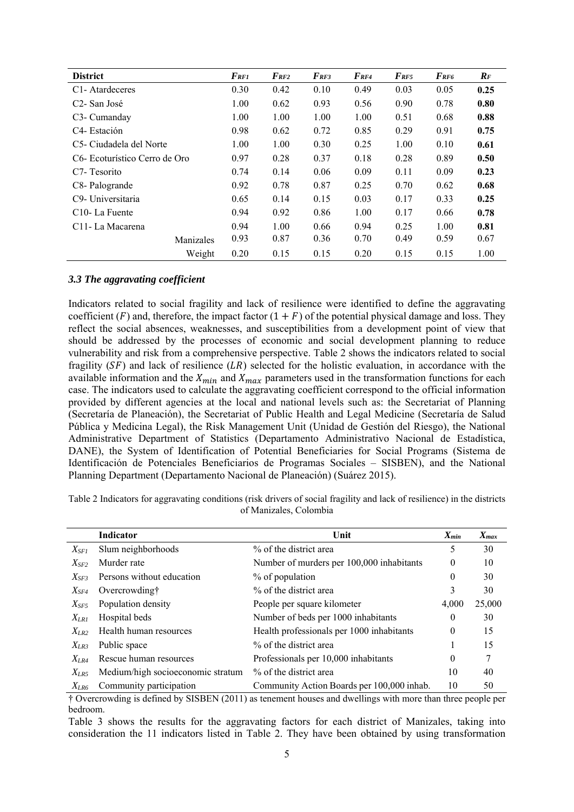| <b>District</b>               | $F_{RF1}$ | $F_{RF2}$ | $F_{RF3}$ | $F_{RF4}$ | $F_{RF5}$ | $F_{RF6}$ | $R_F$ |
|-------------------------------|-----------|-----------|-----------|-----------|-----------|-----------|-------|
| C <sub>1</sub> -Atardeceres   | 0.30      | 0.42      | 0.10      | 0.49      | 0.03      | 0.05      | 0.25  |
| C <sub>2</sub> - San José     | 1.00      | 0.62      | 0.93      | 0.56      | 0.90      | 0.78      | 0.80  |
| C <sub>3</sub> - Cumanday     | 1.00      | 1.00      | 1.00      | 1.00      | 0.51      | 0.68      | 0.88  |
| C <sub>4</sub> - Estación     | 0.98      | 0.62      | 0.72      | 0.85      | 0.29      | 0.91      | 0.75  |
| C5- Ciudadela del Norte       | 1.00      | 1.00      | 0.30      | 0.25      | 1.00      | 0.10      | 0.61  |
| C6- Ecoturístico Cerro de Oro | 0.97      | 0.28      | 0.37      | 0.18      | 0.28      | 0.89      | 0.50  |
| C <sub>7</sub> - Tesorito     | 0.74      | 0.14      | 0.06      | 0.09      | 0.11      | 0.09      | 0.23  |
| C8-Palogrande                 | 0.92      | 0.78      | 0.87      | 0.25      | 0.70      | 0.62      | 0.68  |
| C9- Universitaria             | 0.65      | 0.14      | 0.15      | 0.03      | 0.17      | 0.33      | 0.25  |
| C <sub>10</sub> -La Fuente    | 0.94      | 0.92      | 0.86      | 1.00      | 0.17      | 0.66      | 0.78  |
| C <sub>11</sub> La Macarena   | 0.94      | 1.00      | 0.66      | 0.94      | 0.25      | 1.00      | 0.81  |
| Manizales                     | 0.93      | 0.87      | 0.36      | 0.70      | 0.49      | 0.59      | 0.67  |
| Weight                        | 0.20      | 0.15      | 0.15      | 0.20      | 0.15      | 0.15      | 1.00  |

#### *3.3 The aggravating coefficient*

Indicators related to social fragility and lack of resilience were identified to define the aggravating coefficient ( $F$ ) and, therefore, the impact factor  $(1 + F)$  of the potential physical damage and loss. They reflect the social absences, weaknesses, and susceptibilities from a development point of view that should be addressed by the processes of economic and social development planning to reduce vulnerability and risk from a comprehensive perspective. Table 2 shows the indicators related to social fragility  $(SF)$  and lack of resilience  $(LR)$  selected for the holistic evaluation, in accordance with the available information and the  $X_{min}$  and  $X_{max}$  parameters used in the transformation functions for each case. The indicators used to calculate the aggravating coefficient correspond to the official information provided by different agencies at the local and national levels such as: the Secretariat of Planning (Secretaría de Planeación), the Secretariat of Public Health and Legal Medicine (Secretaría de Salud Pública y Medicina Legal), the Risk Management Unit (Unidad de Gestión del Riesgo), the National Administrative Department of Statistics (Departamento Administrativo Nacional de Estadística, DANE), the System of Identification of Potential Beneficiaries for Social Programs (Sistema de Identificación de Potenciales Beneficiarios de Programas Sociales – SISBEN), and the National Planning Department (Departamento Nacional de Planeación) (Suárez 2015).

|                 | <b>Indicator</b>                  | Unit                                       | $X_{min}$ | $X_{max}$ |
|-----------------|-----------------------------------|--------------------------------------------|-----------|-----------|
| $X_{\tiny SFI}$ | Slum neighborhoods                | % of the district area                     | 5         | 30        |
| $X_{SF2}$       | Murder rate                       | Number of murders per 100,000 inhabitants  | $\theta$  | 10        |
| $X_{SF3}$       | Persons without education         | % of population                            | $\theta$  | 30        |
| $X_{SF4}$       | Overcrowding†                     | % of the district area                     | 3         | 30        |
| $X_{SF5}$       | Population density                | People per square kilometer                | 4.000     | 25,000    |
| $X_{LRI}$       | Hospital beds                     | Number of beds per 1000 inhabitants        | $\theta$  | 30        |
| $X_{LR2}$       | Health human resources            | Health professionals per 1000 inhabitants  | $\theta$  | 15        |
| $X_{LR3}$       | Public space                      | % of the district area                     |           | 15        |
| $X_{LR4}$       | Rescue human resources            | Professionals per 10,000 inhabitants       | 0         |           |
| $X_{LR5}$       | Medium/high socioeconomic stratum | % of the district area                     | 10        | 40        |
| $X_{LR6}$       | Community participation           | Community Action Boards per 100,000 inhab. | 10        | 50        |

Table 2 Indicators for aggravating conditions (risk drivers of social fragility and lack of resilience) in the districts of Manizales, Colombia

† Overcrowding is defined by SISBEN (2011) as tenement houses and dwellings with more than three people per bedroom.

Table 3 shows the results for the aggravating factors for each district of Manizales, taking into consideration the 11 indicators listed in Table 2. They have been obtained by using transformation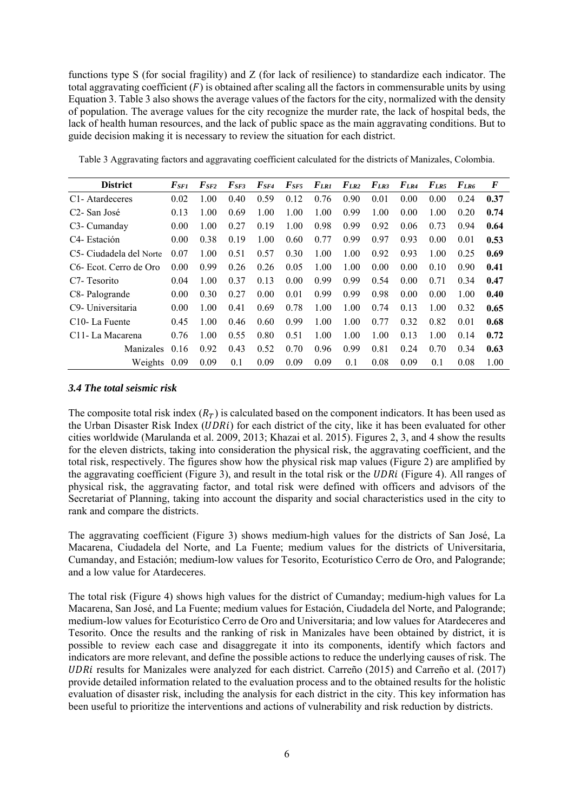functions type S (for social fragility) and Z (for lack of resilience) to standardize each indicator. The total aggravating coefficient  $(F)$  is obtained after scaling all the factors in commensurable units by using Equation 3. Table 3 also shows the average values of the factors for the city, normalized with the density of population. The average values for the city recognize the murder rate, the lack of hospital beds, the lack of health human resources, and the lack of public space as the main aggravating conditions. But to guide decision making it is necessary to review the situation for each district.

| <b>District</b>                     | $F_{SFI}$ | $\bm{F}_{\bm{S}\bm{F2}}$ | $\bm{F}$ se3 | $\bm{F}$ sf4 | $F_{SFS}$ | F <sub>LR1</sub> | $F_{LR2}$ | $F_{LR3}$ | $F_{LR4}$ | $F_{LR5}$ | $F_{LR6}$ | F    |
|-------------------------------------|-----------|--------------------------|--------------|--------------|-----------|------------------|-----------|-----------|-----------|-----------|-----------|------|
| C <sub>1</sub> -Atardeceres         | 0.02      | 1.00                     | 0.40         | 0.59         | 0.12      | 0.76             | 0.90      | 0.01      | 0.00      | 0.00      | 0.24      | 0.37 |
| C <sub>2</sub> - San José           | 0.13      | 1.00                     | 0.69         | 1.00         | 1.00      | 1.00             | 0.99      | 1.00      | 0.00      | 1.00      | 0.20      | 0.74 |
| C3- Cumanday                        | 0.00      | 1.00                     | 0.27         | 0.19         | 1.00      | 0.98             | 0.99      | 0.92      | 0.06      | 0.73      | 0.94      | 0.64 |
| C <sub>4</sub> - Estación           | 0.00      | 0.38                     | 0.19         | 1.00         | 0.60      | 0.77             | 0.99      | 0.97      | 0.93      | 0.00      | 0.01      | 0.53 |
| C5- Ciudadela del Norte             | 0.07      | 1.00                     | 0.51         | 0.57         | 0.30      | 1.00             | 1.00      | 0.92      | 0.93      | 1.00      | 0.25      | 0.69 |
| C <sub>6</sub> - Ecot. Cerro de Oro | 0.00      | 0.99                     | 0.26         | 0.26         | 0.05      | 1.00             | 1.00      | 0.00      | 0.00      | 0.10      | 0.90      | 0.41 |
| C <sub>7</sub> - Tesorito           | 0.04      | 1.00                     | 0.37         | 0.13         | 0.00      | 0.99             | 0.99      | 0.54      | 0.00      | 0.71      | 0.34      | 0.47 |
| C8-Palogrande                       | 0.00      | 0.30                     | 0.27         | 0.00         | 0.01      | 0.99             | 0.99      | 0.98      | 0.00      | 0.00      | 1.00      | 0.40 |
| C9- Universitaria                   | 0.00      | 1.00                     | 0.41         | 0.69         | 0.78      | 1.00             | 1.00      | 0.74      | 0.13      | 1.00      | 0.32      | 0.65 |
| C <sub>10</sub> -La Fuente          | 0.45      | 1.00                     | 0.46         | 0.60         | 0.99      | 1.00             | 1.00      | 0.77      | 0.32      | 0.82      | 0.01      | 0.68 |
| C <sub>11</sub> La Macarena         | 0.76      | 1.00                     | 0.55         | 0.80         | 0.51      | 1.00             | 1.00      | 1.00      | 0.13      | 1.00      | 0.14      | 0.72 |
| Manizales                           | 0.16      | 0.92                     | 0.43         | 0.52         | 0.70      | 0.96             | 0.99      | 0.81      | 0.24      | 0.70      | 0.34      | 0.63 |
| Weights                             | 0.09      | 0.09                     | 0.1          | 0.09         | 0.09      | 0.09             | 0.1       | 0.08      | 0.09      | 0.1       | 0.08      | 1.00 |

Table 3 Aggravating factors and aggravating coefficient calculated for the districts of Manizales, Colombia.

#### *3.4 The total seismic risk*

The composite total risk index  $(R_T)$  is calculated based on the component indicators. It has been used as the Urban Disaster Risk Index (*UDRi*) for each district of the city, like it has been evaluated for other cities worldwide (Marulanda et al. 2009, 2013; Khazai et al. 2015). Figures 2, 3, and 4 show the results for the eleven districts, taking into consideration the physical risk, the aggravating coefficient, and the total risk, respectively. The figures show how the physical risk map values (Figure 2) are amplified by the aggravating coefficient (Figure 3), and result in the total risk or the  $UDRi$  (Figure 4). All ranges of physical risk, the aggravating factor, and total risk were defined with officers and advisors of the Secretariat of Planning, taking into account the disparity and social characteristics used in the city to rank and compare the districts.

The aggravating coefficient (Figure 3) shows medium-high values for the districts of San José, La Macarena, Ciudadela del Norte, and La Fuente; medium values for the districts of Universitaria, Cumanday, and Estación; medium-low values for Tesorito, Ecoturístico Cerro de Oro, and Palogrande; and a low value for Atardeceres.

The total risk (Figure 4) shows high values for the district of Cumanday; medium-high values for La Macarena, San José, and La Fuente; medium values for Estación, Ciudadela del Norte, and Palogrande; medium-low values for Ecoturístico Cerro de Oro and Universitaria; and low values for Atardeceres and Tesorito. Once the results and the ranking of risk in Manizales have been obtained by district, it is possible to review each case and disaggregate it into its components, identify which factors and indicators are more relevant, and define the possible actions to reduce the underlying causes of risk. The UDRi results for Manizales were analyzed for each district. Carreño (2015) and Carreño et al. (2017) provide detailed information related to the evaluation process and to the obtained results for the holistic evaluation of disaster risk, including the analysis for each district in the city. This key information has been useful to prioritize the interventions and actions of vulnerability and risk reduction by districts.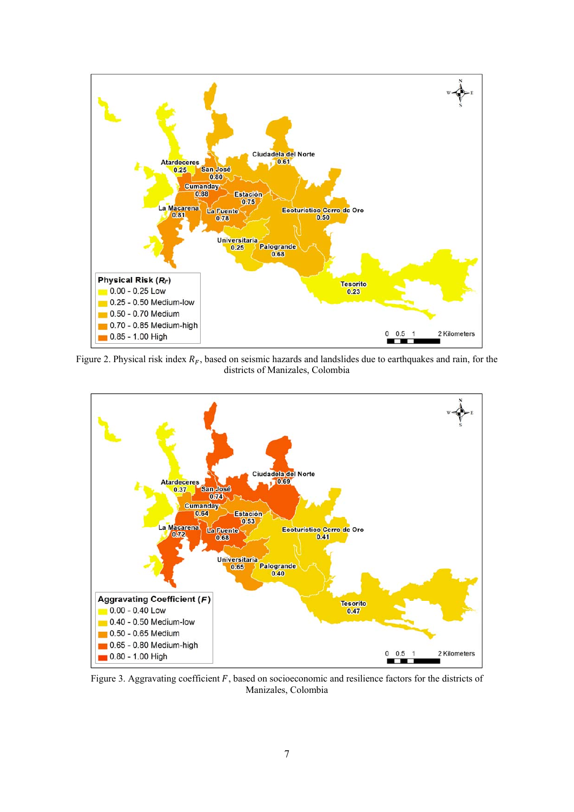

Figure 2. Physical risk index  $R_F$ , based on seismic hazards and landslides due to earthquakes and rain, for the districts of Manizales, Colombia



Figure 3. Aggravating coefficient  $F$ , based on socioeconomic and resilience factors for the districts of Manizales, Colombia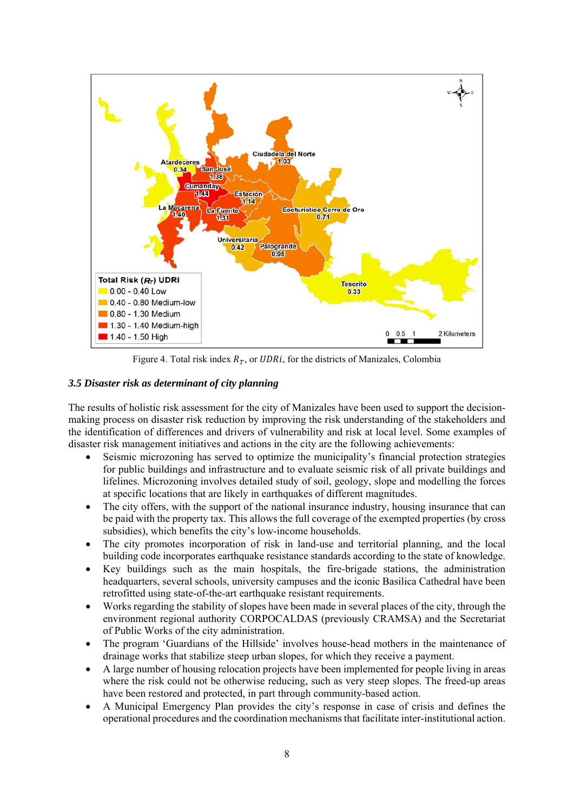

Figure 4. Total risk index  $R_T$ , or UDRi, for the districts of Manizales, Colombia

# *3.5 Disaster risk as determinant of city planning*

The results of holistic risk assessment for the city of Manizales have been used to support the decisionmaking process on disaster risk reduction by improving the risk understanding of the stakeholders and the identification of differences and drivers of vulnerability and risk at local level. Some examples of disaster risk management initiatives and actions in the city are the following achievements:

- Seismic microzoning has served to optimize the municipality's financial protection strategies for public buildings and infrastructure and to evaluate seismic risk of all private buildings and lifelines. Microzoning involves detailed study of soil, geology, slope and modelling the forces at specific locations that are likely in earthquakes of different magnitudes.
- The city offers, with the support of the national insurance industry, housing insurance that can be paid with the property tax. This allows the full coverage of the exempted properties (by cross subsidies), which benefits the city's low-income households.
- The city promotes incorporation of risk in land-use and territorial planning, and the local building code incorporates earthquake resistance standards according to the state of knowledge.
- Key buildings such as the main hospitals, the fire-brigade stations, the administration headquarters, several schools, university campuses and the iconic Basilica Cathedral have been retrofitted using state-of-the-art earthquake resistant requirements.
- Works regarding the stability of slopes have been made in several places of the city, through the environment regional authority CORPOCALDAS (previously CRAMSA) and the Secretariat of Public Works of the city administration.
- The program 'Guardians of the Hillside' involves house-head mothers in the maintenance of drainage works that stabilize steep urban slopes, for which they receive a payment.
- A large number of housing relocation projects have been implemented for people living in areas where the risk could not be otherwise reducing, such as very steep slopes. The freed-up areas have been restored and protected, in part through community-based action.
- A Municipal Emergency Plan provides the city's response in case of crisis and defines the operational procedures and the coordination mechanisms that facilitate inter-institutional action.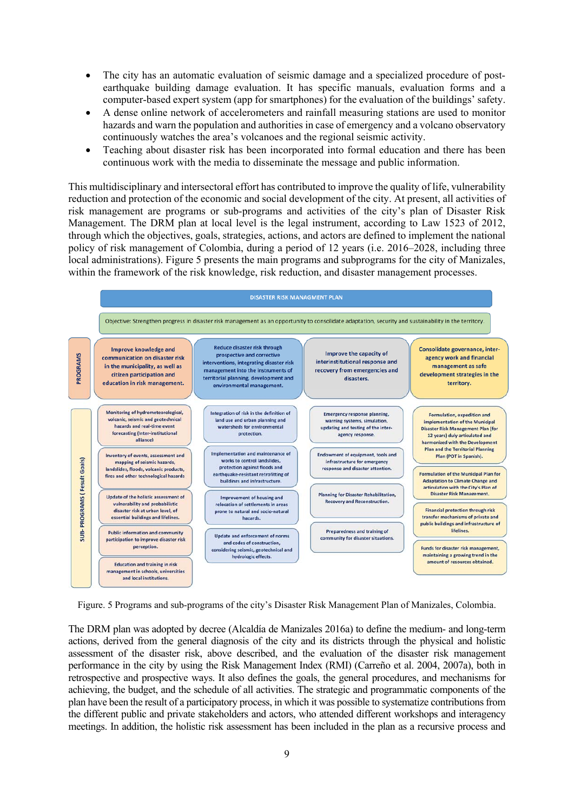- The city has an automatic evaluation of seismic damage and a specialized procedure of postearthquake building damage evaluation. It has specific manuals, evaluation forms and a computer-based expert system (app for smartphones) for the evaluation of the buildings' safety.
- A dense online network of accelerometers and rainfall measuring stations are used to monitor hazards and warn the population and authorities in case of emergency and a volcano observatory continuously watches the area's volcanoes and the regional seismic activity.
- Teaching about disaster risk has been incorporated into formal education and there has been continuous work with the media to disseminate the message and public information.

This multidisciplinary and intersectoral effort has contributed to improve the quality of life, vulnerability reduction and protection of the economic and social development of the city. At present, all activities of risk management are programs or sub-programs and activities of the city's plan of Disaster Risk Management. The DRM plan at local level is the legal instrument, according to Law 1523 of 2012, through which the objectives, goals, strategies, actions, and actors are defined to implement the national policy of risk management of Colombia, during a period of 12 years (i.e. 2016–2028, including three local administrations). Figure 5 presents the main programs and subprograms for the city of Manizales, within the framework of the risk knowledge, risk reduction, and disaster management processes.



Figure. 5 Programs and sub-programs of the city's Disaster Risk Management Plan of Manizales, Colombia.

The DRM plan was adopted by decree (Alcaldía de Manizales 2016a) to define the medium- and long-term actions, derived from the general diagnosis of the city and its districts through the physical and holistic assessment of the disaster risk, above described, and the evaluation of the disaster risk management performance in the city by using the Risk Management Index (RMI) (Carreño et al. 2004, 2007a), both in retrospective and prospective ways. It also defines the goals, the general procedures, and mechanisms for achieving, the budget, and the schedule of all activities. The strategic and programmatic components of the plan have been the result of a participatory process, in which it was possible to systematize contributions from the different public and private stakeholders and actors, who attended different workshops and interagency meetings. In addition, the holistic risk assessment has been included in the plan as a recursive process and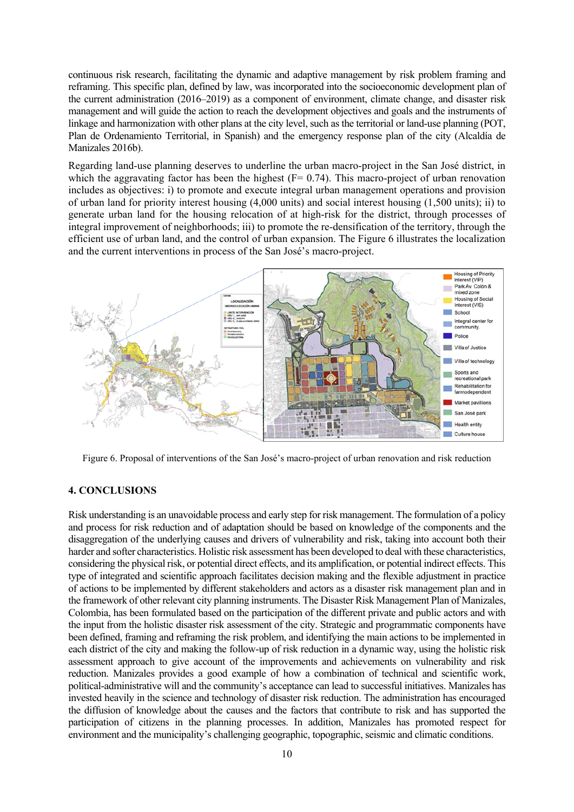continuous risk research, facilitating the dynamic and adaptive management by risk problem framing and reframing. This specific plan, defined by law, was incorporated into the socioeconomic development plan of the current administration (2016–2019) as a component of environment, climate change, and disaster risk management and will guide the action to reach the development objectives and goals and the instruments of linkage and harmonization with other plans at the city level, such as the territorial or land-use planning (POT, Plan de Ordenamiento Territorial, in Spanish) and the emergency response plan of the city (Alcaldía de Manizales 2016b).

Regarding land-use planning deserves to underline the urban macro-project in the San José district, in which the aggravating factor has been the highest  $(F= 0.74)$ . This macro-project of urban renovation includes as objectives: i) to promote and execute integral urban management operations and provision of urban land for priority interest housing (4,000 units) and social interest housing (1,500 units); ii) to generate urban land for the housing relocation of at high-risk for the district, through processes of integral improvement of neighborhoods; iii) to promote the re-densification of the territory, through the efficient use of urban land, and the control of urban expansion. The Figure 6 illustrates the localization and the current interventions in process of the San José's macro-project.



Figure 6. Proposal of interventions of the San José's macro-project of urban renovation and risk reduction

# **4. CONCLUSIONS**

Risk understanding is an unavoidable process and early step for risk management. The formulation of a policy and process for risk reduction and of adaptation should be based on knowledge of the components and the disaggregation of the underlying causes and drivers of vulnerability and risk, taking into account both their harder and softer characteristics. Holistic risk assessment has been developed to deal with these characteristics, considering the physical risk, or potential direct effects, and its amplification, or potential indirect effects. This type of integrated and scientific approach facilitates decision making and the flexible adjustment in practice of actions to be implemented by different stakeholders and actors as a disaster risk management plan and in the framework of other relevant city planning instruments. The Disaster Risk Management Plan of Manizales, Colombia, has been formulated based on the participation of the different private and public actors and with the input from the holistic disaster risk assessment of the city. Strategic and programmatic components have been defined, framing and reframing the risk problem, and identifying the main actions to be implemented in each district of the city and making the follow-up of risk reduction in a dynamic way, using the holistic risk assessment approach to give account of the improvements and achievements on vulnerability and risk reduction. Manizales provides a good example of how a combination of technical and scientific work, political-administrative will and the community's acceptance can lead to successful initiatives. Manizales has invested heavily in the science and technology of disaster risk reduction. The administration has encouraged the diffusion of knowledge about the causes and the factors that contribute to risk and has supported the participation of citizens in the planning processes. In addition, Manizales has promoted respect for environment and the municipality's challenging geographic, topographic, seismic and climatic conditions.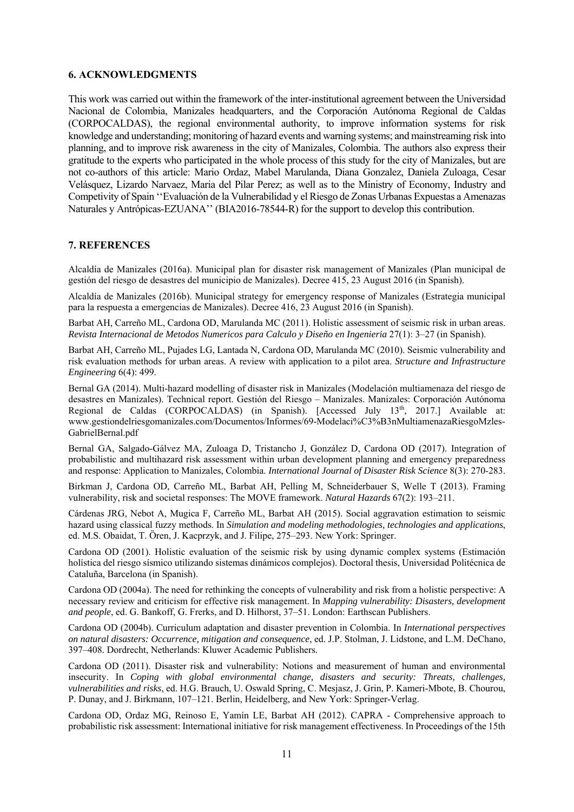#### **6. ACKNOWLEDGMENTS**

This work was carried out within the framework of the inter-institutional agreement between the Universidad Nacional de Colombia, Manizales headquarters, and the Corporación Autónoma Regional de Caldas (CORPOCALDAS), the regional environmental authority, to improve information systems for risk knowledge and understanding; monitoring of hazard events and warning systems; and mainstreaming risk into planning, and to improve risk awareness in the city of Manizales, Colombia. The authors also express their gratitude to the experts who participated in the whole process of this study for the city of Manizales, but are not co-authors of this article: Mario Ordaz, Mabel Marulanda, Diana Gonzalez, Daniela Zuloaga, Cesar Velásquez, Lizardo Narvaez, Maria del Pilar Perez; as well as to the Ministry of Economy, Industry and Competivity of Spain ''Evaluación de la Vulnerabilidad y el Riesgo de Zonas Urbanas Expuestas a Amenazas Naturales y Antrópicas-EZUANA'' (BIA2016-78544-R) for the support to develop this contribution.

#### **7. REFERENCES**

Alcaldía de Manizales (2016a). Municipal plan for disaster risk management of Manizales (Plan municipal de gestión del riesgo de desastres del municipio de Manizales). Decree 415, 23 August 2016 (in Spanish).

Alcaldía de Manizales (2016b). Municipal strategy for emergency response of Manizales (Estrategia municipal para la respuesta a emergencias de Manizales). Decree 416, 23 August 2016 (in Spanish).

Barbat AH, Carreño ML, Cardona OD, Marulanda MC (2011). Holistic assessment of seismic risk in urban areas. *Revista Internacional de Metodos Numericos para Calculo y Diseño en Ingenieria* 27(1): 3–27 (in Spanish).

Barbat AH, Carreño ML, Pujades LG, Lantada N, Cardona OD, Marulanda MC (2010). Seismic vulnerability and risk evaluation methods for urban areas. A review with application to a pilot area. *Structure and Infrastructure Engineering* 6(4): 499.

Bernal GA (2014). Multi-hazard modelling of disaster risk in Manizales (Modelación multiamenaza del riesgo de desastres en Manizales). Technical report. Gestión del Riesgo – Manizales. Manizales: Corporación Autónoma Regional de Caldas (CORPOCALDAS) (in Spanish). [Accessed July  $13<sup>th</sup>$ , 2017.] Available at: www.gestiondelriesgomanizales.com/Documentos/Informes/69-Modelaci%C3%B3nMultiamenazaRiesgoMzles-GabrielBernal.pdf

Bernal GA, Salgado-Gálvez MA, Zuloaga D, Tristancho J, González D, Cardona OD (2017). Integration of probabilistic and multihazard risk assessment within urban development planning and emergency preparedness and response: Application to Manizales, Colombia. *International Journal of Disaster Risk Science* 8(3): 270-283.

Birkman J, Cardona OD, Carreño ML, Barbat AH, Pelling M, Schneiderbauer S, Welle T (2013). Framing vulnerability, risk and societal responses: The MOVE framework. *Natural Hazards* 67(2): 193–211.

Cárdenas JRG, Nebot A, Mugica F, Carreño ML, Barbat AH (2015). Social aggravation estimation to seismic hazard using classical fuzzy methods. In *Simulation and modeling methodologies, technologies and applications*, ed. M.S. Obaidat, T. Ören, J. Kacprzyk, and J. Filipe, 275–293. New York: Springer.

Cardona OD (2001). Holistic evaluation of the seismic risk by using dynamic complex systems (Estimación holística del riesgo sísmico utilizando sistemas dinámicos complejos). Doctoral thesis, Universidad Politécnica de Cataluña, Barcelona (in Spanish).

Cardona OD (2004a). The need for rethinking the concepts of vulnerability and risk from a holistic perspective: A necessary review and criticism for effective risk management. In *Mapping vulnerability: Disasters, development and people*, ed. G. Bankoff, G. Frerks, and D. Hilhorst, 37–51. London: Earthscan Publishers.

Cardona OD (2004b). Curriculum adaptation and disaster prevention in Colombia. In *International perspectives on natural disasters: Occurrence, mitigation and consequence*, ed. J.P. Stolman, J. Lidstone, and L.M. DeChano, 397–408. Dordrecht, Netherlands: Kluwer Academic Publishers.

Cardona OD (2011). Disaster risk and vulnerability: Notions and measurement of human and environmental insecurity. In *Coping with global environmental change, disasters and security: Threats, challenges, vulnerabilities and risks*, ed. H.G. Brauch, U. Oswald Spring, C. Mesjasz, J. Grin, P. Kameri-Mbote, B. Chourou, P. Dunay, and J. Birkmann, 107–121. Berlin, Heidelberg, and New York: Springer-Verlag.

Cardona OD, Ordaz MG, Reinoso E, Yamín LE, Barbat AH (2012). CAPRA - Comprehensive approach to probabilistic risk assessment: International initiative for risk management effectiveness. In Proceedings of the 15th